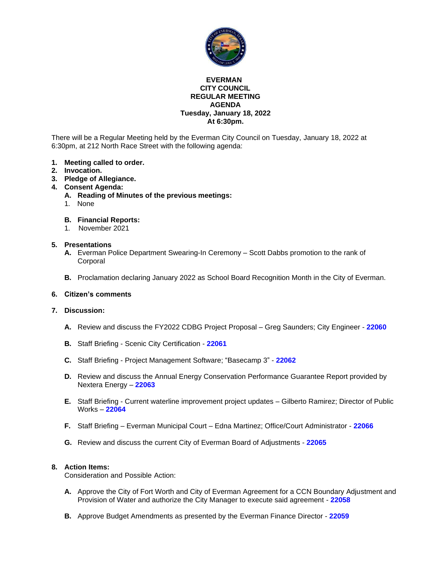

#### **EVERMAN CITY COUNCIL REGULAR MEETING AGENDA Tuesday, January 18, 2022 At 6:30pm.**

There will be a Regular Meeting held by the Everman City Council on Tuesday, January 18, 2022 at 6:30pm, at 212 North Race Street with the following agenda:

- **1. Meeting called to order.**
- **2. Invocation.**
- **3. Pledge of Allegiance.**
- **4. Consent Agenda:**
	- **A. Reading of Minutes of the previous meetings:**
	- 1. None

#### **B. Financial Reports:**

1. November 2021

#### **5. Presentations**

- **A.** Everman Police Department Swearing-In Ceremony Scott Dabbs promotion to the rank of **Corporal**
- **B.** Proclamation declaring January 2022 as School Board Recognition Month in the City of Everman.

#### **6. Citizen's comments**

- **7. Discussion:**
	- **A.** Review and discuss the FY2022 CDBG Project Proposal Greg Saunders; City Engineer **[22060](#page-2-0)**
	- **B.** Staff Briefing Scenic City Certification **[22061](#page-3-0)**
	- **C.** Staff Briefing Project Management Software; "Basecamp 3" **[22062](#page-4-0)**
	- **D.** Review and discuss the Annual Energy Conservation Performance Guarantee Report provided by Nextera Energy – **[22063](#page-5-0)**
	- **E.** Staff Briefing Current waterline improvement project updates Gilberto Ramirez; Director of Public Works – **[22064](#page-6-0)**
	- **F.** Staff Briefing Everman Municipal Court Edna Martinez; Office/Court Administrator **[22066](#page-7-0)**
	- **G.** Review and discuss the current City of Everman Board of Adjustments **[22065](#page-8-0)**

#### **8. Action Items:**

Consideration and Possible Action:

- **A.** Approve the City of Fort Worth and City of Everman Agreement for a CCN Boundary Adjustment and Provision of Water and authorize the City Manager to execute said agreement - **[22058](#page-9-0)**
- **B.** Approve Budget Amendments as presented by the Everman Finance Director **[22059](#page-10-0)**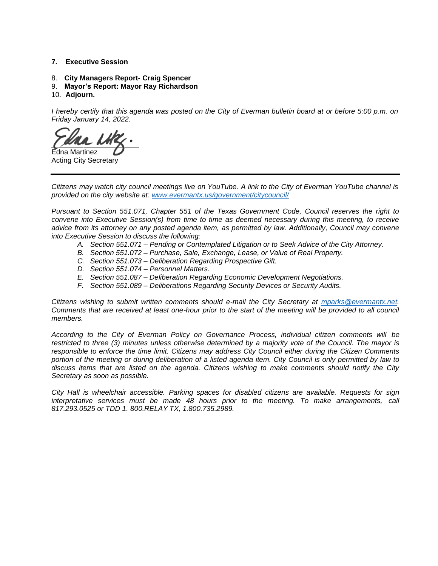#### **7. Executive Session**

- 8. **City Managers Report- Craig Spencer**
- 9. **Mayor's Report: Mayor Ray Richardson**
- 10. **Adjourn.**

I hereby certify that this agenda was posted on the City of Everman bulletin board at or before 5:00 p.m. on *Friday January 14, 2022.*

Edna Martinez

Acting City Secretary

Citizens may watch city council meetings live on YouTube. A link to the City of Everman YouTube channel is *provided on the city website at: [www.evermantx.us/government/citycouncil/](http://www.evermantx.us/government/citycouncil/)*

*Pursuant to Section 551.071, Chapter 551 of the Texas Government Code, Council reserves the right to convene into Executive Session(s) from time to time as deemed necessary during this meeting, to receive advice from its attorney on any posted agenda item, as permitted by law. Additionally, Council may convene into Executive Session to discuss the following:*

- *A. Section 551.071 – Pending or Contemplated Litigation or to Seek Advice of the City Attorney.*
- *B. Section 551.072 – Purchase, Sale, Exchange, Lease, or Value of Real Property.*
- *C. Section 551.073 – Deliberation Regarding Prospective Gift.*
- *D. Section 551.074 – Personnel Matters.*
- *E. Section 551.087 – Deliberation Regarding Economic Development Negotiations.*
- *F. Section 551.089 – Deliberations Regarding Security Devices or Security Audits.*

*Citizens wishing to submit written comments should e-mail the City Secretary at [mparks@evermantx.net.](mailto:mparks@evermantx.net) Comments that are received at least one-hour prior to the start of the meeting will be provided to all council members.*

*According to the City of Everman Policy on Governance Process, individual citizen comments will be restricted to three (3) minutes unless otherwise determined by a majority vote of the Council. The mayor is responsible to enforce the time limit. Citizens may address City Council either during the Citizen Comments portion of the meeting or during deliberation of a listed agenda item. City Council is only permitted by law to discuss items that are listed on the agenda. Citizens wishing to make comments should notify the City Secretary as soon as possible.*

*City Hall is wheelchair accessible. Parking spaces for disabled citizens are available. Requests for sign interpretative services must be made 48 hours prior to the meeting. To make arrangements, call 817.293.0525 or TDD 1. 800.RELAY TX, 1.800.735.2989.*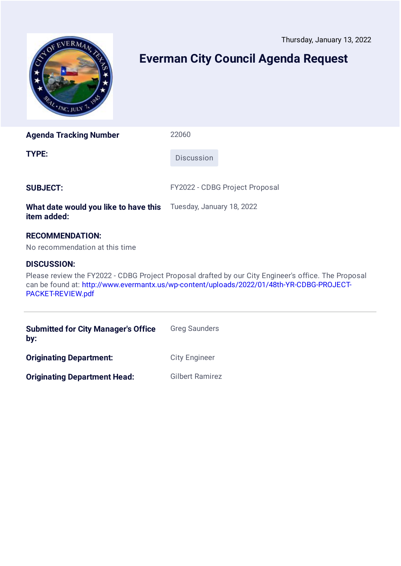<span id="page-2-0"></span>

# **Everman City Council Agenda Request**

**Agenda Tracking Number** 22060

**TYPE:** Discussion

**SUBJECT:** FY2022 - CDBG Project Proposal

**What date would you like to have this item added:** Tuesday, January 18, 2022

## **RECOMMENDATION:**

No recommendation at this time

### **DISCUSSION:**

Please review the FY2022 - CDBG Project Proposal drafted by our City Engineer's office. The Proposal can be found at: [http://www.evermantx.us/wp-content/uploads/2022/01/48th-YR-CDBG-PROJECT-](http://www.evermantx.us/wp-content/uploads/2022/01/48th-YR-CDBG-PROJECT-PACKET-REVIEW.pdf)PACKET-REVIEW.pdf

| <b>Submitted for City Manager's Office</b><br>by: | <b>Greg Saunders</b> |
|---------------------------------------------------|----------------------|
| <b>Originating Department:</b>                    | <b>City Engineer</b> |
| <b>Originating Department Head:</b>               | Gilbert Ramirez      |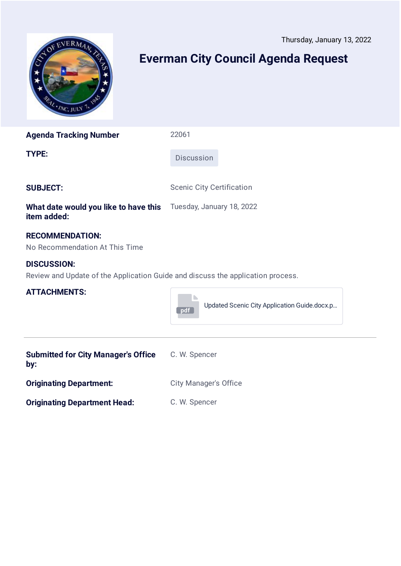<span id="page-3-0"></span>

# **Everman City Council Agenda Request**

**Agenda Tracking Number** 22061

**TYPE:** Discussion

**SUBJECT:** SCENIC City Certification

#### **What date would you like to have this item added:** Tuesday, January 18, 2022

## **RECOMMENDATION:**

No Recommendation At This Time

### **DISCUSSION:**

Review and Update of the Application Guide and discuss the application process.

## **ATTACHMENTS:**



| <b>Submitted for City Manager's Office</b><br>by: | C. W. Spencer                |
|---------------------------------------------------|------------------------------|
| <b>Originating Department:</b>                    | <b>City Manager's Office</b> |
| <b>Originating Department Head:</b>               | C. W. Spencer                |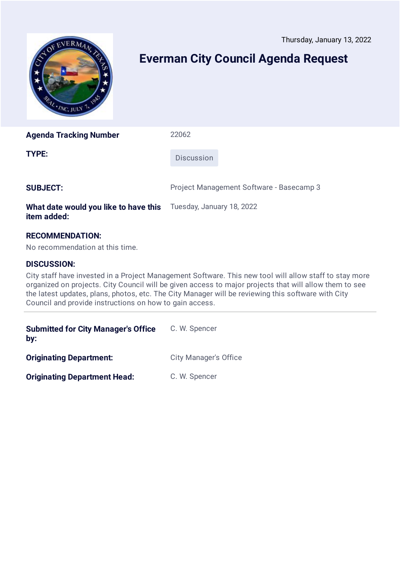<span id="page-4-0"></span>

# **Everman City Council Agenda Request**

**Agenda Tracking Number** 22062

**TYPE:** Discussion

**SUBJECT:** Project Management Software - Basecamp 3

#### **What date would you like to have this item added:** Tuesday, January 18, 2022

## **RECOMMENDATION:**

No recommendation at this time.

### **DISCUSSION:**

City staff have invested in a Project Management Software. This new tool will allow staff to stay more organized on projects. City Council will be given access to major projects that will allow them to see the latest updates, plans, photos, etc. The City Manager will be reviewing this software with City Council and provide instructions on how to gain access.

| <b>Submitted for City Manager's Office</b><br>by: | C. W. Spencer                |
|---------------------------------------------------|------------------------------|
| <b>Originating Department:</b>                    | <b>City Manager's Office</b> |
| <b>Originating Department Head:</b>               | C. W. Spencer                |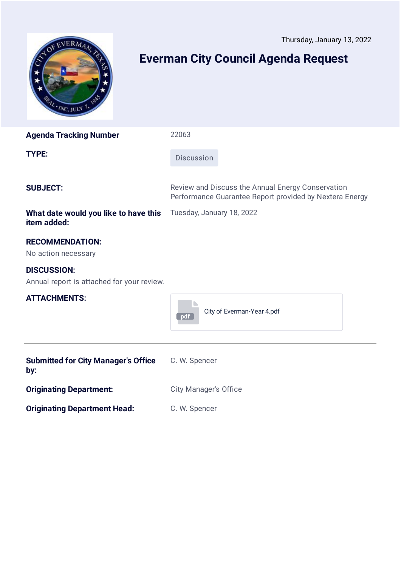<span id="page-5-0"></span>

# **Everman City Council Agenda Request**

| <b>Agenda Tracking Number</b> | 22063 |
|-------------------------------|-------|
|                               |       |

**TYPE:** Discussion

Tuesday, January 18, 2022

**SUBJECT:** Review and Discuss the Annual Energy Conservation Performance Guarantee Report provided by Nextera Energy

#### **What date would you like to have this item added:**

## **RECOMMENDATION:**

No action necessary

#### **DISCUSSION:**

Annual report is attached for your review.

#### **ATTACHMENTS:**



| <b>Submitted for City Manager's Office</b><br>by: | C. W. Spencer                |
|---------------------------------------------------|------------------------------|
| <b>Originating Department:</b>                    | <b>City Manager's Office</b> |
| <b>Originating Department Head:</b>               | C. W. Spencer                |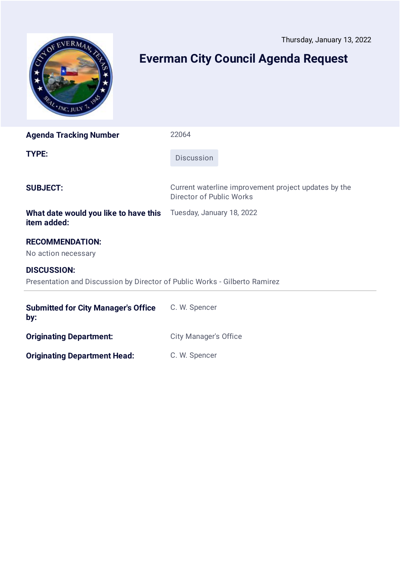<span id="page-6-0"></span>

# **Everman City Council Agenda Request**

**Agenda Tracking Number** 22064

**TYPE:** Discussion

Tuesday, January 18, 2022

**SUBJECT:** Current waterline improvement project updates by the Director of Public Works

#### **What date would you like to have this item added:**

## **RECOMMENDATION:**

No action necessary

### **DISCUSSION:**

Presentation and Discussion by Director of Public Works - Gilberto Ramirez

| <b>Submitted for City Manager's Office</b><br>by: | C. W. Spencer                |
|---------------------------------------------------|------------------------------|
| <b>Originating Department:</b>                    | <b>City Manager's Office</b> |
| <b>Originating Department Head:</b>               | C. W. Spencer                |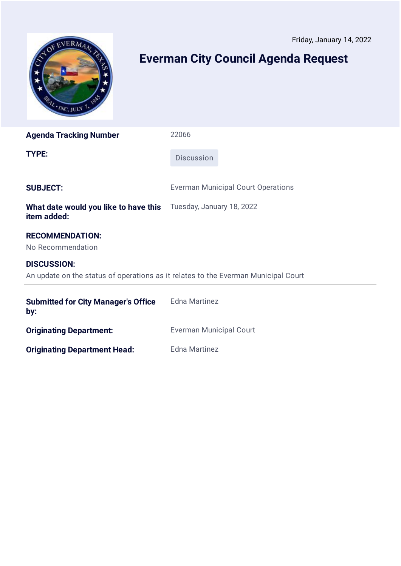Friday, January 14, 2022

<span id="page-7-0"></span>

## **Everman City Council Agenda Request**

| <b>Agenda Tracking Number</b>         | 22066                              |
|---------------------------------------|------------------------------------|
| TYPE:                                 | <b>Discussion</b>                  |
| <b>SUBJECT:</b>                       | Everman Municipal Court Operations |
| What date would you like to have this | Tuesday, January 18, 2022          |

## **RECOMMENDATION:**

No Recommendation

## **DISCUSSION:**

**item added:**

An update on the status of operations as it relates to the Everman Municipal Court

| <b>Submitted for City Manager's Office</b><br>by: | Edna Martinez                  |
|---------------------------------------------------|--------------------------------|
| <b>Originating Department:</b>                    | <b>Everman Municipal Court</b> |
| <b>Originating Department Head:</b>               | Edna Martinez                  |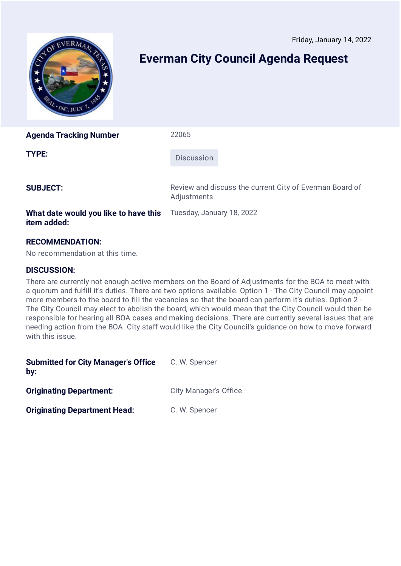Friday, January 14, 2022

<span id="page-8-0"></span>

# **Everman City Council Agenda Request**

**Agenda Tracking Number** 22065

**TYPE:** Discussion

**SUBJECT:** Review and discuss the current City of Everman Board of **Adjustments** 

#### **What date would you like to have this item added:**

## **RECOMMENDATION:**

No recommendation at this time.

### **DISCUSSION:**

There are currently not enough active members on the Board of Adjustments for the BOA to meet with a quorum and fulfill it's duties. There are two options available. Option 1 - The City Council may appoint more members to the board to fill the vacancies so that the board can perform it's duties. Option 2 - The City Council may elect to abolish the board, which would mean that the City Council would then be responsible for hearing all BOA cases and making decisions. There are currently several issues that are needing action from the BOA. City staff would like the City Council's guidance on how to move forward with this issue.

Tuesday, January 18, 2022

| <b>Submitted for City Manager's Office</b><br>by: | C. W. Spencer                |
|---------------------------------------------------|------------------------------|
| <b>Originating Department:</b>                    | <b>City Manager's Office</b> |
| <b>Originating Department Head:</b>               | C. W. Spencer                |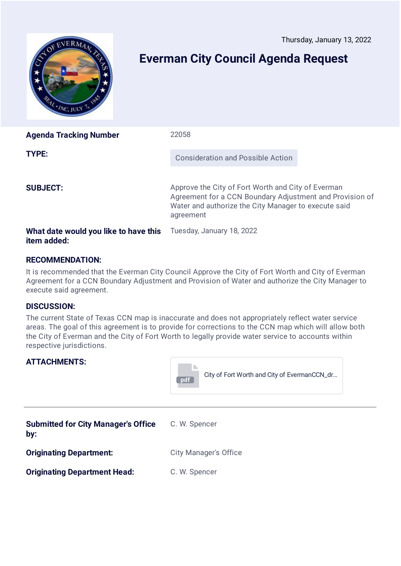<span id="page-9-0"></span>

# **Everman City Council Agenda Request**

| <b>Agenda Tracking Number</b>                        | 22058                                                                                                                                                                               |
|------------------------------------------------------|-------------------------------------------------------------------------------------------------------------------------------------------------------------------------------------|
| TYPE:                                                | <b>Consideration and Possible Action</b>                                                                                                                                            |
| <b>SUBJECT:</b>                                      | Approve the City of Fort Worth and City of Everman<br>Agreement for a CCN Boundary Adjustment and Provision of<br>Water and authorize the City Manager to execute said<br>agreement |
| What date would you like to have this<br>item added: | Tuesday, January 18, 2022                                                                                                                                                           |

## **RECOMMENDATION:**

It is recommended that the Everman City Council Approve the City of Fort Worth and City of Everman Agreement for a CCN Boundary Adjustment and Provision of Water and authorize the City Manager to execute said agreement.

#### **DISCUSSION:**

The current State of Texas CCN map is inaccurate and does not appropriately reflect water service areas. The goal of this agreement is to provide for corrections to the CCN map which will allow both the City of Everman and the City of Fort Worth to legally provide water service to accounts within respective jurisdictions.

| <b>ATTACHMENTS:</b>                               | City of Fort Worth and City of EvermanCCN_dr<br>pdf |
|---------------------------------------------------|-----------------------------------------------------|
| <b>Submitted for City Manager's Office</b><br>by: | C. W. Spencer                                       |
| <b>Originating Department:</b>                    | <b>City Manager's Office</b>                        |
| <b>Originating Department Head:</b>               | C. W. Spencer                                       |